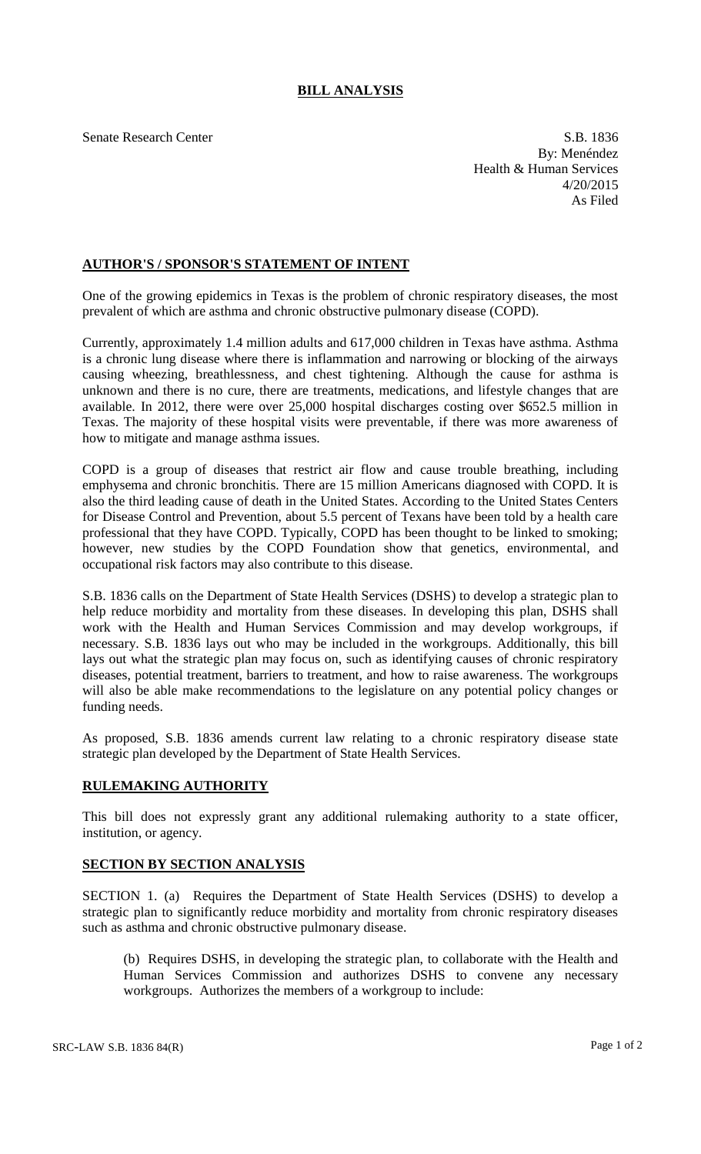## **BILL ANALYSIS**

Senate Research Center S.B. 1836 By: Menéndez Health & Human Services 4/20/2015 As Filed

## **AUTHOR'S / SPONSOR'S STATEMENT OF INTENT**

One of the growing epidemics in Texas is the problem of chronic respiratory diseases, the most prevalent of which are asthma and chronic obstructive pulmonary disease (COPD).

Currently, approximately 1.4 million adults and 617,000 children in Texas have asthma. Asthma is a chronic lung disease where there is inflammation and narrowing or blocking of the airways causing wheezing, breathlessness, and chest tightening. Although the cause for asthma is unknown and there is no cure, there are treatments, medications, and lifestyle changes that are available. In 2012, there were over 25,000 hospital discharges costing over \$652.5 million in Texas. The majority of these hospital visits were preventable, if there was more awareness of how to mitigate and manage asthma issues.

COPD is a group of diseases that restrict air flow and cause trouble breathing, including emphysema and chronic bronchitis. There are 15 million Americans diagnosed with COPD. It is also the third leading cause of death in the United States. According to the United States Centers for Disease Control and Prevention, about 5.5 percent of Texans have been told by a health care professional that they have COPD. Typically, COPD has been thought to be linked to smoking; however, new studies by the COPD Foundation show that genetics, environmental, and occupational risk factors may also contribute to this disease.

S.B. 1836 calls on the Department of State Health Services (DSHS) to develop a strategic plan to help reduce morbidity and mortality from these diseases. In developing this plan, DSHS shall work with the Health and Human Services Commission and may develop workgroups, if necessary. S.B. 1836 lays out who may be included in the workgroups. Additionally, this bill lays out what the strategic plan may focus on, such as identifying causes of chronic respiratory diseases, potential treatment, barriers to treatment, and how to raise awareness. The workgroups will also be able make recommendations to the legislature on any potential policy changes or funding needs.

As proposed, S.B. 1836 amends current law relating to a chronic respiratory disease state strategic plan developed by the Department of State Health Services.

## **RULEMAKING AUTHORITY**

This bill does not expressly grant any additional rulemaking authority to a state officer, institution, or agency.

## **SECTION BY SECTION ANALYSIS**

SECTION 1. (a) Requires the Department of State Health Services (DSHS) to develop a strategic plan to significantly reduce morbidity and mortality from chronic respiratory diseases such as asthma and chronic obstructive pulmonary disease.

(b) Requires DSHS, in developing the strategic plan, to collaborate with the Health and Human Services Commission and authorizes DSHS to convene any necessary workgroups. Authorizes the members of a workgroup to include: